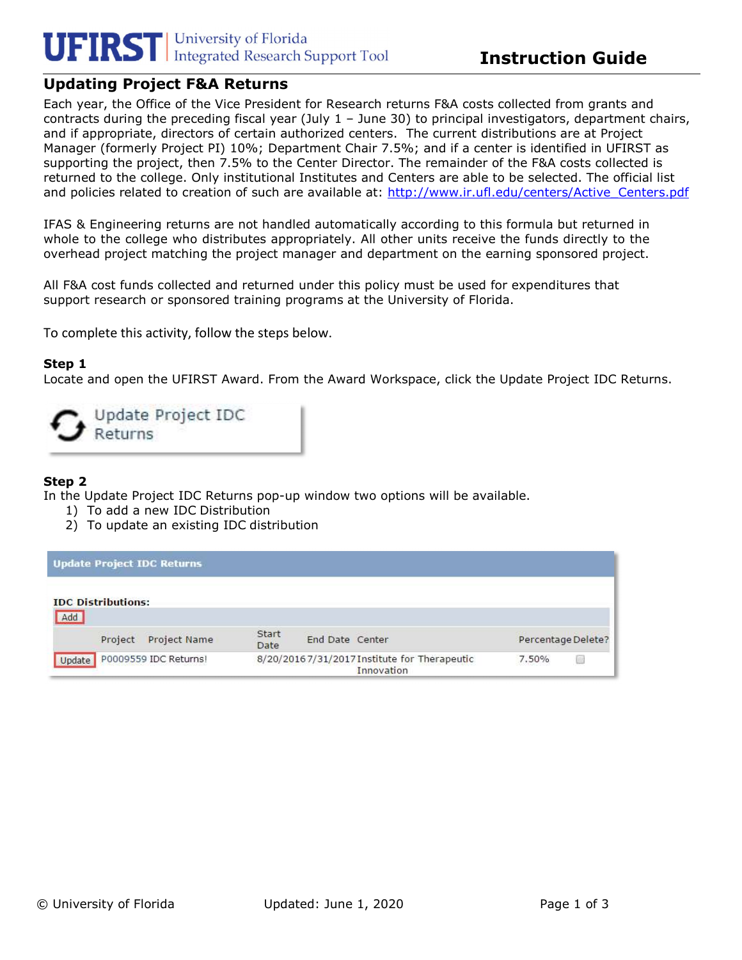# **UFIRST** University of Florida<br>Integrated Research Support Tool

# Updating Project F&A Returns

Each year, the Office of the Vice President for Research returns F&A costs collected from grants and contracts during the preceding fiscal year (July 1 – June 30) to principal investigators, department chairs, and if appropriate, directors of certain authorized centers. The current distributions are at Project Manager (formerly Project PI) 10%; Department Chair 7.5%; and if a center is identified in UFIRST as supporting the project, then 7.5% to the Center Director. The remainder of the F&A costs collected is returned to the college. Only institutional Institutes and Centers are able to be selected. The official list and policies related to creation of such are available at: http://www.ir.ufl.edu/centers/Active\_Centers.pdf

IFAS & Engineering returns are not handled automatically according to this formula but returned in whole to the college who distributes appropriately. All other units receive the funds directly to the overhead project matching the project manager and department on the earning sponsored project.

All F&A cost funds collected and returned under this policy must be used for expenditures that support research or sponsored training programs at the University of Florida.

To complete this activity, follow the steps below.

### Step 1

Locate and open the UFIRST Award. From the Award Workspace, click the Update Project IDC Returns.

Update Project IDC Returns

## Step 2

In the Update Project IDC Returns pop-up window two options will be available.

- 1) To add a new IDC Distribution
- 2) To update an existing IDC distribution

| <b>Update Project IDC Returns</b> |                                                             |       |                    |
|-----------------------------------|-------------------------------------------------------------|-------|--------------------|
| <b>IDC</b> Distributions:<br>Add  |                                                             |       |                    |
| Project Name<br>Project           | Start<br>End Date Center<br>Date                            |       | Percentage Delete? |
| P0009559 IDC Returns!<br>Update   | 8/20/2016 7/31/2017 Institute for Therapeutic<br>Innovation | 7.50% |                    |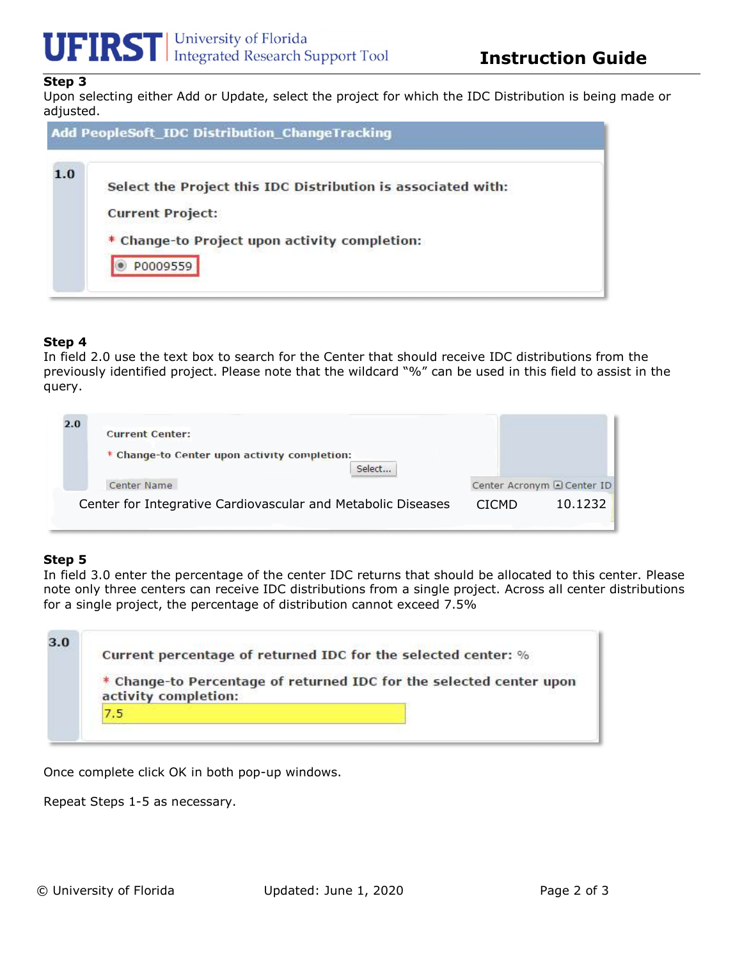

## Step 3

Upon selecting either Add or Update, select the project for which the IDC Distribution is being made or adjusted.

|     | Add PeopleSoft_IDC Distribution_ChangeTracking                                                                                                       |  |
|-----|------------------------------------------------------------------------------------------------------------------------------------------------------|--|
| 1.0 | Select the Project this IDC Distribution is associated with:<br><b>Current Project:</b><br>* Change-to Project upon activity completion:<br>P0009559 |  |

### Step 4

In field 2.0 use the text box to search for the Center that should receive IDC distributions from the previously identified project. Please note that the wildcard "%" can be used in this field to assist in the query.

| 2.0<br><b>Current Center:</b>                                |              |                            |
|--------------------------------------------------------------|--------------|----------------------------|
| * Change-to Center upon activity completion:<br>Select       |              |                            |
| Center Name                                                  |              | Center Acronym & Center ID |
| Center for Integrative Cardiovascular and Metabolic Diseases | <b>CICMD</b> | 10.1232                    |

## Step 5

In field 3.0 enter the percentage of the center IDC returns that should be allocated to this center. Please note only three centers can receive IDC distributions from a single project. Across all center distributions for a single project, the percentage of distribution cannot exceed 7.5%

|  | Current percentage of returned IDC for the selected center: %       |  |  |
|--|---------------------------------------------------------------------|--|--|
|  | * Change-to Percentage of returned IDC for the selected center upon |  |  |
|  | activity completion:                                                |  |  |
|  |                                                                     |  |  |

Once complete click OK in both pop-up windows.

Repeat Steps 1-5 as necessary.